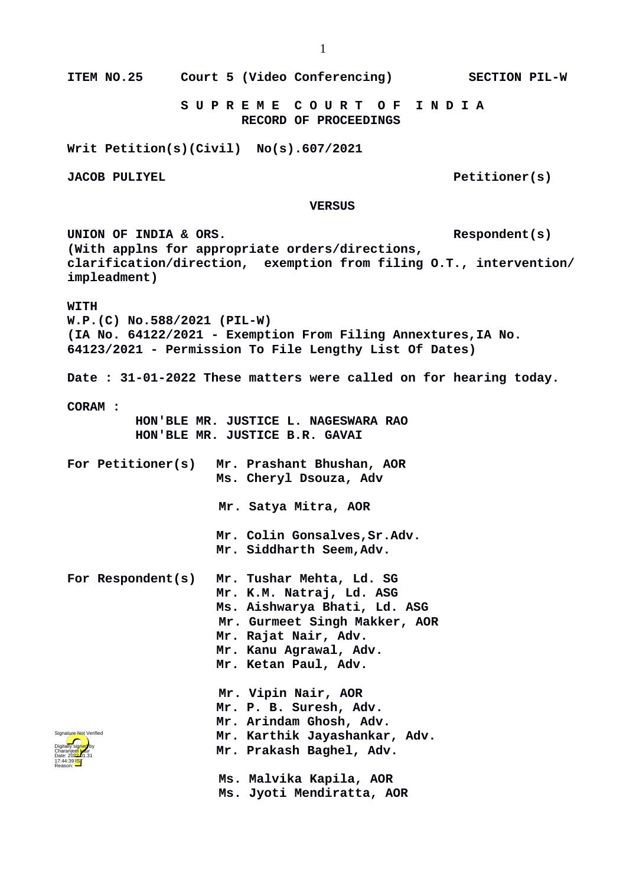**VERSUS** UNION OF INDIA & ORS. **(With applns for appropriate orders/directions, clarification/direction, exemption from filing O.T., intervention/ impleadment) WITH W.P.(C) No.588/2021 (PIL-W) (IA No. 64122/2021 - Exemption From Filing Annextures,IA No. 64123/2021 - Permission To File Lengthy List Of Dates) Date : 31-01-2022 These matters were called on for hearing today. CORAM : HON'BLE MR. JUSTICE L. NAGESWARA RAO HON'BLE MR. JUSTICE B.R. GAVAI For Petitioner(s) Mr. Prashant Bhushan, AOR Ms. Cheryl Dsouza, Adv Mr. Satya Mitra, AOR Mr. Colin Gonsalves,Sr.Adv. Mr. Siddharth Seem,Adv. For Respondent(s) Mr. Tushar Mehta, Ld. SG Mr. K.M. Natraj, Ld. ASG Ms. Aishwarya Bhati, Ld. ASG Mr. Gurmeet Singh Makker, AOR Mr. Rajat Nair, Adv. Mr. Kanu Agrawal, Adv. Mr. Ketan Paul, Adv. Mr. Vipin Nair, AOR Mr. P. B. Suresh, Adv.**



 **Ms. Malvika Kapila, AOR Ms. Jyoti Mendiratta, AOR**

**Mr. Karthik Jayashankar, Adv.**

**Mr. Arindam Ghosh, Adv.**

**Mr. Prakash Baghel, Adv.**

**ITEM NO.25 Court 5 (Video Conferencing) SECTION PIL-W**

 **S U P R E M E C O U R T O F I N D I A RECORD OF PROCEEDINGS**

**Writ Petition(s)(Civil) No(s).607/2021**

**JACOB PULIYEL** Petitioner(s)